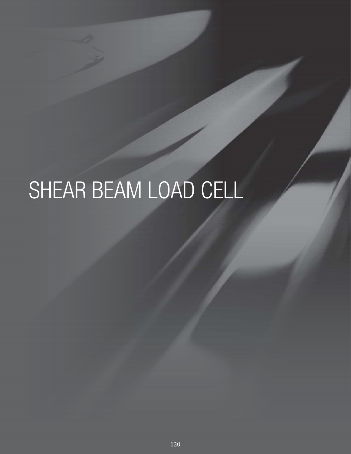# SHEAR BEAM LOAD CELL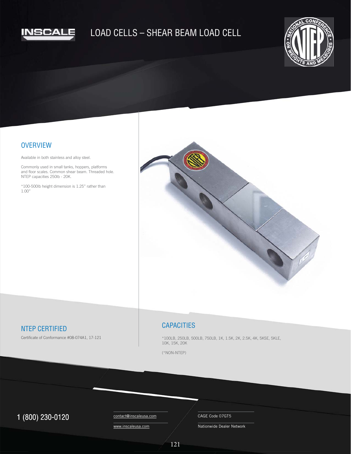

# LOAD CELLS – SHEAR BEAM LOAD CELL



#### **OVERVIEW**

Available in both stainless and alloy steel.

Commonly used in small tanks, hoppers, platforms and floor scales. Common shear beam. Threaded hole. NTEP capacities 250lb - 20K.

\*100-500lb height dimension is 1.25" rather than 1.00"



## NTEP CERTIFIED

Certificate of Conformance #08-074A1, 17-121

#### **CAPACITIES**

\*100LB, 250LB, 500LB, 750LB, 1K, 1.5K, 2K, 2.5K, 4K, 5KSE, 5KLE, 10K, 15K, 20K

(\*NON-NTEP)

## $1 (800) 230-0120$  Contact@inscaleusa.com CAGE Code 07GT5

contact@inscaleusa.com www.inscaleusa.com

Nationwide Dealer Network

121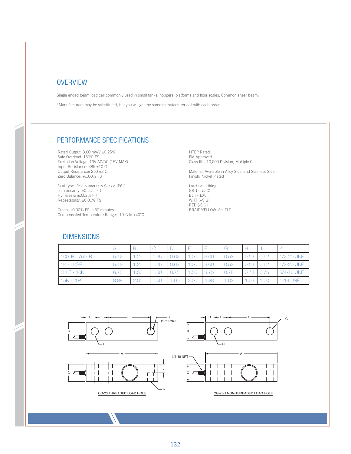### **OVERVIEW**

Single ended beam load cell commonly used in small tanks, hoppers, platforms and floor scales. Common shear beam.

\*Manufacturers may be substituted, but you will get the same manufacturer cell with each order.

## PERFORMANCE SPECIFICATIONS

Rated Output: 3.00 mV/V ±0.25% Safe Overload: 150% FS Excitation Voltage: 10V AC/DC (15V MAX). Input Resistance: 385 ±10 Ω Output Resistance: 250 ±3 Ω Zero Balance: +1.00% FS

Seal Type: Environmentally Sealed IP67 Non-linearity:  $\pm 0.03 \times F$ 3 Hysteresis:  $\pm 0.02$  % FSS Repeatability: ±0.01% FS Zero Balance: +1.00% FS<br>
Seal Type: Invitible met ta ty Sealed IP6 7<br>
Joaq Chell Mirring<br>
Joaq Chell Mirring<br>
Joaq Chell Mirring<br>
Hy: Yeresis: ±0.02 % F()<br>
Hy: Yeresis: ±0.02 % F()

> Creep: ±0.02% FS in 30 minutes Compensated Temperature Range: -10°C to +40°C

NTEP Rated FM Approved Class IIIL, 10,000 Division, Multiple Cell

Material: Available in Alloy Steel and Stainless Steel Finish: Nickel Plated

Load Cell Viring GRN (+EXC) BL'\(-EXC) WHT (+SIG) RED (-SIG) BRAID/YELLOW: SHIELD

### DIMENSIONS

|                   |      |      |      |      |      |      | G    |      |      |            |
|-------------------|------|------|------|------|------|------|------|------|------|------------|
| 100LB - 750LB     | 5.12 | 1.25 | 1.25 | 0.62 |      | 3.00 | 0.53 | 0.53 | 0.62 | 1/2-20 UNF |
| 1K - 5KSE         | 5.12 | 1.25 | .25  | 0.62 | 1.00 | 3.00 | 0.53 | 0.53 | 0.62 | 1/2-20 UNF |
| <b>5KLE - 10K</b> | 6.75 | 1.50 | .50  | 0.75 | 1.50 | 3.75 |      | 0.78 | 0.75 | 3/4-16 UNF |
| 15K - 20K         | 8.88 | 2.00 | .50  | .00. | 2.00 | 4.88 | 1.03 | 1.03 | .00  | 1-14 UNF   |